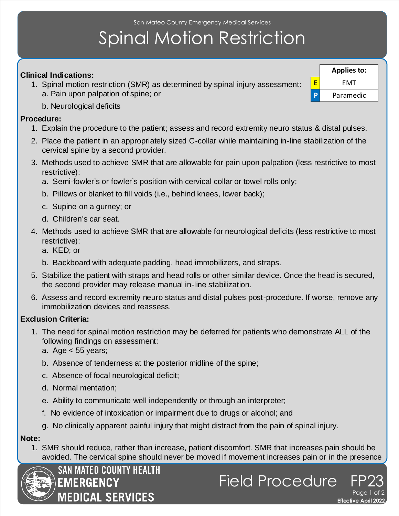San Mateo County Emergency Medical Services

# Spinal Motion Restriction

### **Clinical Indications:**

- 1. Spinal motion restriction (SMR) as determined by spinal injury assessment: a. Pain upon palpation of spine; or
	- b. Neurological deficits

#### **Procedure:**

- 1. Explain the procedure to the patient; assess and record extremity neuro status & distal pulses.
- 2. Place the patient in an appropriately sized C-collar while maintaining in-line stabilization of the cervical spine by a second provider.
- 3. Methods used to achieve SMR that are allowable for pain upon palpation (less restrictive to most restrictive):
	- a. Semi-fowler's or fowler's position with cervical collar or towel rolls only;
	- b. Pillows or blanket to fill voids (i.e., behind knees, lower back);
	- c. Supine on a gurney; or
	- d. Children's car seat.
- 4. Methods used to achieve SMR that are allowable for neurological deficits (less restrictive to most restrictive):
	- a. KED; or
	- b. Backboard with adequate padding, head immobilizers, and straps.
- 5. Stabilize the patient with straps and head rolls or other similar device. Once the head is secured, the second provider may release manual in-line stabilization.
- 6. Assess and record extremity neuro status and distal pulses post-procedure. If worse, remove any immobilization devices and reassess.

### **Exclusion Criteria:**

- 1. The need for spinal motion restriction may be deferred for patients who demonstrate ALL of the following findings on assessment:
	- a. Age < 55 years;
	- b. Absence of tenderness at the posterior midline of the spine;
	- c. Absence of focal neurological deficit;
	- d. Normal mentation;
	- e. Ability to communicate well independently or through an interpreter;
	- f. No evidence of intoxication or impairment due to drugs or alcohol; and
	- g. No clinically apparent painful injury that might distract from the pain of spinal injury.

#### **Note:**

 1. SMR should reduce, rather than increase, patient discomfort. SMR that increases pain should be avoided. The cervical spine should never be moved if movement increases pain or in the presence





**E** EMT **P** Paramedic **Applies to:**